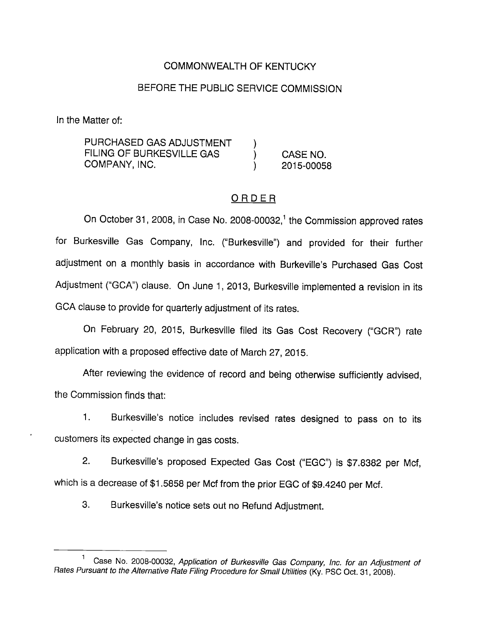## COMMONWEALTH OF KENTUCKY

### BEFORE THE PUBLIC SERVICE COMMISSION

In the Matter of:

PURCHASED GAS ADJUSTMENT FILING OF BURKESVILLE GAS (CASE NO. COMPANY, INC. ) 2015-00058

## ORDER

On October 31, 2008, in Case No. 2008-00032,<sup>1</sup> the Commission approved rates for Burkesville Gas Company, Inc. ("Burkesville") and provided for their further adjustment on a monthly basis in accordance with Burkeville's Purchased Gas Cost Adjustment ("GCA") clause. On June 1, 2013, Burkesville implemented a revision in its GCA clause to provide for quarterly adjustment of its rates.

On February 20, 2015, Burkesville filed its Gas Cost Recovery ("GCR") rate application with a proposed effective date of March 27, 2015.

After reviewing the evidence of record and being otherwise sufficiently advised, the Commission finds that:

1. Burkesville's notice includes revised rates designed to pass on to its customers its expected change in gas costs.

2. Burkesville's proposed Expected Gas Cost ("EGC") is \$7.8382 per Mcf, which is a decrease of \$1.5858 per Mcf from the prior EGC of \$9.4240 per Mcf.

3. Burkesville's notice sets out no Refund Adjustment.

Case No. 2008-00032, Application of Burkesville Gas Company, inc. for an Adjustment of Rates Pursuant to the Alternative Rate Filing Procedure for Small Utilities (Ky. PSC Oct. 31, 2008).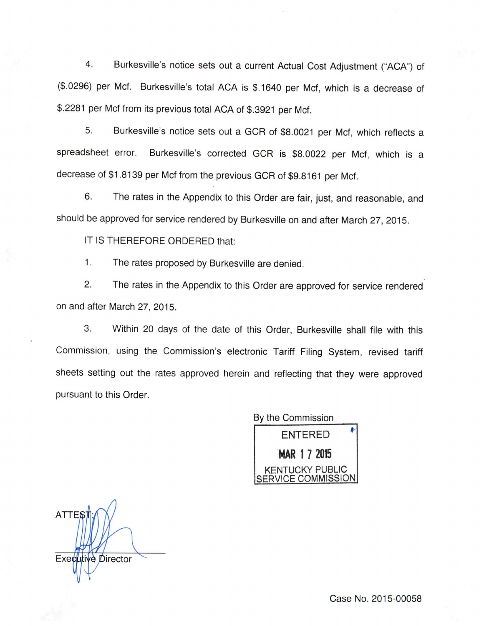4. Burkesville's notice sets out a current Actual Cost Adjustment ("ACA") of (\$.0296) per Met. Burkesville's total ACA is \$.1640 per Met, which is a decrease of \$.2281 per Mcf from its previous total ACA of \$.3921 per Mcf.

5. Burkesville's notice sets out a GCR of \$8.0021 per Mcf, which reflects a spreadsheet error. Burkesville's corrected GCR is \$8.0022 per Mcf, which is a decrease of\$1.8139 per Mcf from the previous GCR of \$9.8161 per Mcf.

6. The rates in the Appendix to this Order are fair, just, and reasonable, and should be approved for service rendered by Burkesville on and after March 27, 2015.

IT IS THEREFORE ORDERED that:

1. The rates proposed by Burkesville are denied.

2. The rates in the Appendix to this Order are approved for service rendered on and after March 27, 2015.

3. Within 20 days of the date of this Order, Burkesville shall file with this Commission, using the Commission's electronic Tariff Filing System, revised tariff sheets setting out the rates approved herein and reflecting that they were approved pursuant to this Order.

> By the Commission ENTERED HAR 1 7 2015 **JCKY PUBLIC** COMMISSION

**ATTES** Executive Director

Case No. 2015-00058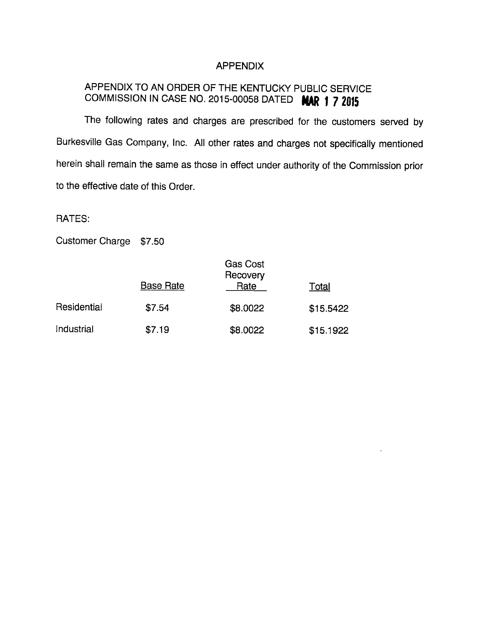#### APPENDIX

# APPENDIX TO AN ORDER OF THE KENTUCKY PUBLIC SERVICE COMMISSION IN CASE NO. 2015-00058 DATED MAR 1 7 2015

The following rates and charges are prescribed for the customers served by Burkesville Gas Company, Inc. All other rates and charges not specifically mentioned herein shall remain the same as those in effect under authority of the Commission prior to the effective date of this Order.

RATES:

Customer Charge \$7.50

|             | <b>Base Rate</b> | <b>Gas Cost</b><br>Recovery<br>Rate | Total     |
|-------------|------------------|-------------------------------------|-----------|
| Residential | \$7.54           | \$8.0022                            | \$15.5422 |
| Industrial  | \$7.19           | \$8.0022                            | \$15.1922 |